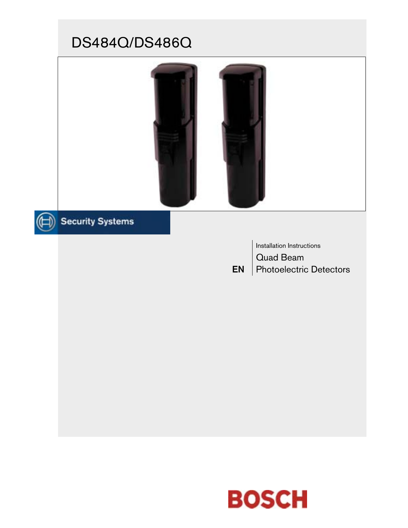# DS484Q/DS486Q



# Security Systems

EN Installation Instructions Quad Beam Photoelectric Detectors

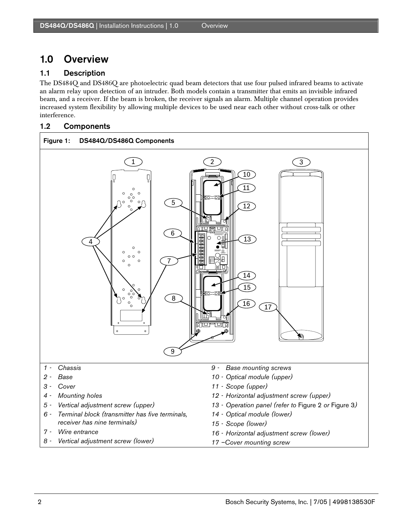# 1.0 Overview

# 1.1 Description

The DS484Q and DS486Q are photoelectric quad beam detectors that use four pulsed infrared beams to activate an alarm relay upon detection of an intruder. Both models contain a transmitter that emits an invisible infrared beam, and a receiver. If the beam is broken, the receiver signals an alarm. Multiple channel operation provides increased system flexibility by allowing multiple devices to be used near each other without cross-talk or other interference.

# 1.2 Components

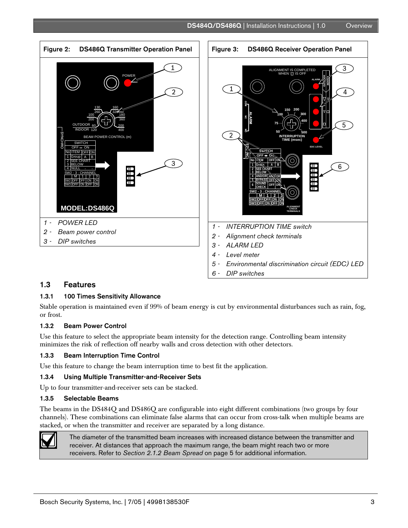



# 1.3 Features

.

#### 1.3.1 100 Times Sensitivity Allowance

Stable operation is maintained even if 99% of beam energy is cut by environmental disturbances such as rain, fog, or frost.

#### 1.3.2 Beam Power Control

Use this feature to select the appropriate beam intensity for the detection range. Controlling beam intensity minimizes the risk of reflection off nearby walls and cross detection with other detectors.

#### 1.3.3 Beam Interruption Time Control

Use this feature to change the beam interruption time to best fit the application.

#### 1.3.4 Using Multiple Transmitter-and-Receiver Sets

Up to four transmitter-and-receiver sets can be stacked.

#### 1.3.5 Selectable Beams

The beams in the DS484Q and DS486Q are configurable into eight different combinations (two groups by four channels). These combinations can eliminate false alarms that can occur from cross-talk when multiple beams are stacked, or when the transmitter and receiver are separated by a long distance.



The diameter of the transmitted beam increases with increased distance between the transmitter and receiver. At distances that approach the maximum range, the beam might reach two or more receivers. Refer to *Section 2.1.2 Beam Spread* on page 5 for additional information.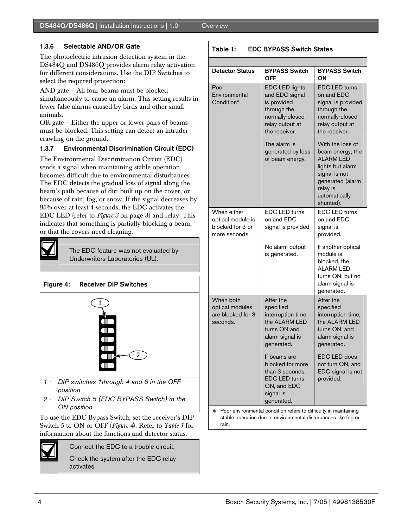# 1.3.6 Selectable AND/OR Gate

The photoelectric intrusion detection system in the DS484Q and DS486Q provides alarm relay activation for different considerations. Use the DIP Switches to select the required protection:

AND gate – All four beams must be blocked simultaneously to cause an alarm. This setting results in fewer false alarms caused by birds and other small animals.

OR gate – Either the upper or lower pairs of beams must be blocked. This setting can detect an intruder crawling on the ground.

# 1.3.7 Environmental Discrimination Circuit (EDC)

The Environmental Discrimination Circuit (EDC) sends a signal when maintaining stable operation becomes difficult due to environmental disturbances. The EDC detects the gradual loss of signal along the beam's path because of dirt built up on the cover, or because of rain, fog, or snow. If the signal decreases by 95% over at least 4-seconds, the EDC activates the EDC LED (refer to *Figure 3* on page 3) and relay. This indicates that something is partially blocking a beam, or that the covers need cleaning.



The EDC feature was not evaluated by Underwriters Laboratories (UL).



*ON position*  To use the EDC Bypass Switch, set the receiver's DIP

Switch 5 to ON or OFF (*Figure 4*). Refer to *Table 1* for information about the functions and detector status.



Connect the EDC to a trouble circuit.

Check the system after the EDC relay activates.

|  | <b>EDC BYPASS Switch States</b><br>Table 1: |                                         |                                    |  |
|--|---------------------------------------------|-----------------------------------------|------------------------------------|--|
|  |                                             |                                         |                                    |  |
|  | <b>Detector Status</b>                      | <b>BYPASS Switch</b><br>OFF             | <b>BYPASS Switch</b><br>OΝ         |  |
|  | Poor<br>Environmental                       | <b>EDC LED lights</b><br>and EDC signal | <b>EDC LED turns</b><br>on and EDC |  |

| Poor<br>Environmental<br>Condition*                                        | EDC LED lights<br>and EDC signal<br>is provided<br>through the<br>normally-closed<br>relay output at<br>the receiver. | <b>EDC LED turns</b><br>on and EDC<br>signal is provided<br>through the<br>normally-closed<br>relay output at<br>the receiver.                              |  |
|----------------------------------------------------------------------------|-----------------------------------------------------------------------------------------------------------------------|-------------------------------------------------------------------------------------------------------------------------------------------------------------|--|
|                                                                            | The alarm is<br>generated by loss<br>of beam energy.                                                                  | With the loss of<br>beam energy, the<br><b>ALARM LED</b><br>lights but alarm<br>signal is not<br>generated (alarm<br>relay is<br>automatically<br>shunted). |  |
| When either<br>optical module is<br>blocked for 3 or<br>more seconds.      | <b>EDC LED turns</b><br>on and EDC<br>signal is provided                                                              | <b>EDC LED turns</b><br>on and EDC<br>signal is<br>provided.                                                                                                |  |
|                                                                            | No alarm output<br>is generated.                                                                                      | If another optical<br>module is<br>blocked, the<br><b>ALARM LED</b><br>turns ON, but no<br>alarm signal is<br>generated.                                    |  |
| When both<br>optical modules<br>are blocked for 3<br>seconds.              | After the<br>specified<br>interruption time,<br>the ALARM LED<br>turns ON and<br>alarm signal is<br>generated.        | After the<br>specified<br>interruption time,<br>the ALARM LED<br>turns ON, and<br>alarm signal is<br>generated.                                             |  |
|                                                                            | If beams are<br>blocked for more<br>than 3 seconds.<br><b>EDC LED turns</b><br>ON, and EDC<br>signal is<br>generated. | EDC LED does<br>not turn ON, and<br>EDC signal is not<br>provided.                                                                                          |  |
| Poor environmental condition refers to difficulty in maintaining<br>$\ast$ |                                                                                                                       |                                                                                                                                                             |  |

stable operation due to environmental disturbances like fog or rain.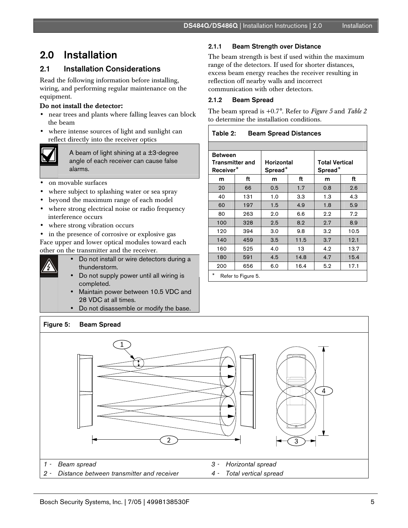# 2.0 Installation

# 2.1 Installation Considerations

Read the following information before installing, wiring, and performing regular maintenance on the equipment.

#### Do not install the detector:

- near trees and plants where falling leaves can block the beam
- where intense sources of light and sunlight can reflect directly into the receiver optics



A beam of light shining at a  $\pm$ 3-degree angle of each receiver can cause false alarms.

- on movable surfaces
- where subject to splashing water or sea spray
- beyond the maximum range of each model
- where strong electrical noise or radio frequency interference occurs
- where strong vibration occurs
- in the presence of corrosive or explosive gas Face upper and lower optical modules toward each other on the transmitter and the receiver.
- 
- Do not install or wire detectors during a thunderstorm.
- Do not supply power until all wiring is completed.
- Maintain power between 10.5 VDC and 28 VDC at all times.
- Do not disassemble or modify the base.

### 2.1.1 Beam Strength over Distance

The beam strength is best if used within the maximum range of the detectors. If used for shorter distances, excess beam energy reaches the receiver resulting in reflection off nearby walls and incorrect communication with other detectors.

### 2.1.2 Beam Spread

The beam spread is +0.7°. Refer to *Figure 5* and *Table 2* to determine the installation conditions.

#### Table 2: Beam Spread Distances

| <b>Between</b><br>Transmitter and<br>Receiver <sup>*</sup> |     | Horizontal<br>Spread <sup>*</sup> |      | <b>Total Vertical</b><br>Spread <sup>®</sup> |      |
|------------------------------------------------------------|-----|-----------------------------------|------|----------------------------------------------|------|
| m                                                          | ft  | m                                 | ft   | m                                            | ft   |
| 20                                                         | 66  | 0.5                               | 1.7  | 0.8                                          | 2.6  |
| 40                                                         | 131 | 1.0                               | 3.3  | 1.3                                          | 4.3  |
| 60                                                         | 197 | 1.5                               | 4.9  | 1.8                                          | 5.9  |
| 80                                                         | 263 | 2.0                               | 6.6  | 2.2                                          | 7.2  |
| 100                                                        | 328 | 2.5                               | 8.2  | 2.7                                          | 8.9  |
| 120                                                        | 394 | 3.0                               | 9.8  | 3.2                                          | 10.5 |
| 140                                                        | 459 | 3.5                               | 11.5 | 3.7                                          | 12.1 |
| 160                                                        | 525 | 4.0                               | 13   | 4.2                                          | 13.7 |
| 180                                                        | 591 | 4.5                               | 14.8 | 4.7                                          | 15.4 |
| 200                                                        | 656 | 6.0                               | 16.4 | 5.2                                          | 17.1 |
| $\ast$<br>$Dof$ or to Figura 5                             |     |                                   |      |                                              |      |

Refer to Figure 5.

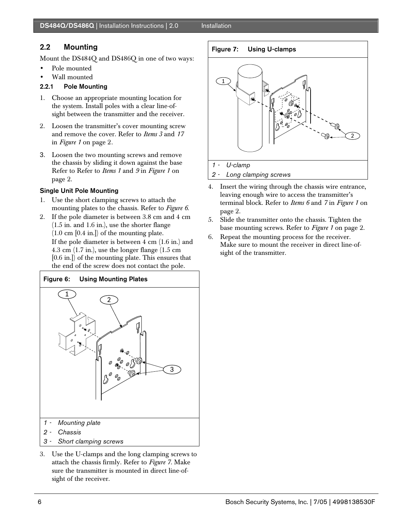# 2.2 Mounting

Mount the DS484Q and DS486Q in one of two ways:

- Pole mounted
- Wall mounted

# 2.2.1 Pole Mounting

- 1. Choose an appropriate mounting location for the system. Install poles with a clear line-ofsight between the transmitter and the receiver.
- 2. Loosen the transmitter's cover mounting screw and remove the cover. Refer to *Items 3* and *17* in *Figure 1* on page 2*.*
- 3. Loosen the two mounting screws and remove the chassis by sliding it down against the base Refer to Refer to *Items 1* and *9* in *Figure 1* on page 2.

# Single Unit Pole Mounting

- 1. Use the short clamping screws to attach the mounting plates to the chassis. Refer to *Figure 6*.
- 2. If the pole diameter is between 3.8 cm and 4 cm (1.5 in. and 1.6 in.), use the shorter flange (1.0 cm [0.4 in.]) of the mounting plate. If the pole diameter is between 4 cm (1.6 in.) and 4.3 cm (1.7 in.), use the longer flange (1.5 cm [0.6 in.]) of the mounting plate. This ensures that the end of the screw does not contact the pole.



3. Use the U-clamps and the long clamping screws to attach the chassis firmly. Refer to *Figure 7.* Make sure the transmitter is mounted in direct line-ofsight of the receiver.

# Figure 7: Using U-clamps



- 4. Insert the wiring through the chassis wire entrance, leaving enough wire to access the transmitter's terminal block. Refer to *Items 6* and *7* in *Figure 1* on page 2.
- 5. Slide the transmitter onto the chassis. Tighten the base mounting screws. Refer to *Figure 1* on page 2.
- 6. Repeat the mounting process for the receiver. Make sure to mount the receiver in direct line-ofsight of the transmitter.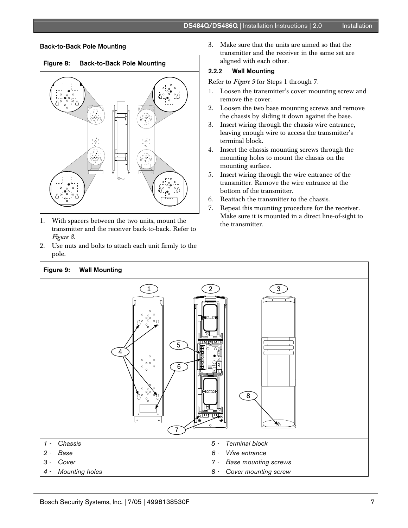#### Back-to-Back Pole Mounting



- 1. With spacers between the two units, mount the transmitter and the receiver back-to-back. Refer to *Figure 8*.
- 2. Use nuts and bolts to attach each unit firmly to the pole.

3. Make sure that the units are aimed so that the transmitter and the receiver in the same set are aligned with each other.

#### 2.2.2 Wall Mounting

Refer to *Figure 9* for Steps 1 through 7.

- 1. Loosen the transmitter's cover mounting screw and remove the cover.
- 2. Loosen the two base mounting screws and remove the chassis by sliding it down against the base.
- 3. Insert wiring through the chassis wire entrance, leaving enough wire to access the transmitter's terminal block.
- 4. Insert the chassis mounting screws through the mounting holes to mount the chassis on the mounting surface.
- 5. Insert wiring through the wire entrance of the transmitter. Remove the wire entrance at the bottom of the transmitter.
- 6. Reattach the transmitter to the chassis.
- 7. Repeat this mounting procedure for the receiver. Make sure it is mounted in a direct line-of-sight to the transmitter.

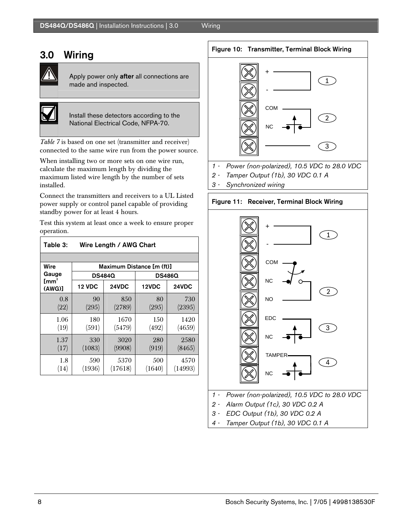# 3.0 Wiring



Apply power only after all connections are made and inspected.



Install these detectors according to the National Electrical Code, NFPA-70.

*Table 7* is based on one set (transmitter and receiver) connected to the same wire run from the power source.

When installing two or more sets on one wire run, calculate the maximum length by dividing the maximum listed wire length by the number of sets installed.

Connect the transmitters and receivers to a UL Listed power supply or control panel capable of providing standby power for at least 4 hours.

Test this system at least once a week to ensure proper operation.

| Table 3:                  | Wire Length / AWG Chart   |                 |               |                 |  |
|---------------------------|---------------------------|-----------------|---------------|-----------------|--|
|                           |                           |                 |               |                 |  |
| Wire                      | Maximum Distance [m (ft)] |                 |               |                 |  |
| Gauge                     |                           | <b>DS484Q</b>   |               | <b>DS486Q</b>   |  |
| $\mathsf{Imm}^2$<br>(AWG) | <b>12 VDC</b>             | 24VDC           | 12VDC         | 24VDC           |  |
| 0.8<br>(22)               | 90<br>(295)               | 850<br>(2789)   | 80<br>(295)   | 730<br>(2395)   |  |
| 1.06<br>(19)              | 180<br>(591)              | 1670<br>(5479)  | 150<br>(492)  | 1420<br>(4659)  |  |
| 1.37<br>(17)              | 330<br>(1083)             | 3020<br>(9908)  | 280<br>(919)  | 2580<br>(8465)  |  |
| 1.8<br>(14)               | 590<br>(1936)             | 5370<br>(17618) | 500<br>(1640) | 4570<br>(14993) |  |

Figure 10: Transmitter, Terminal Block Wiring



- *1 Power (non-polarized), 10.5 VDC to 28.0 VDC*
- *2 Tamper Output (1b), 30 VDC 0.1 A*
- *3 Synchronized wiring*





- 
- *3 EDC Output (1b), 30 VDC 0.2 A*
- *4 Tamper Output (1b), 30 VDC 0.1 A*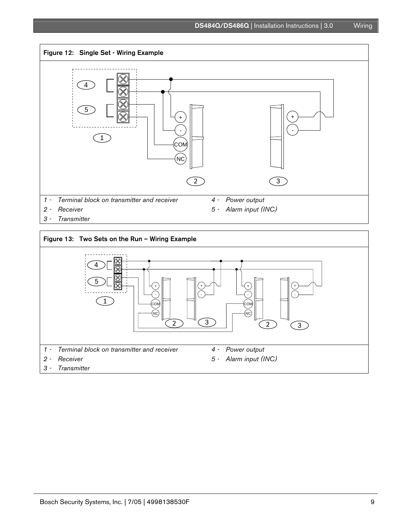

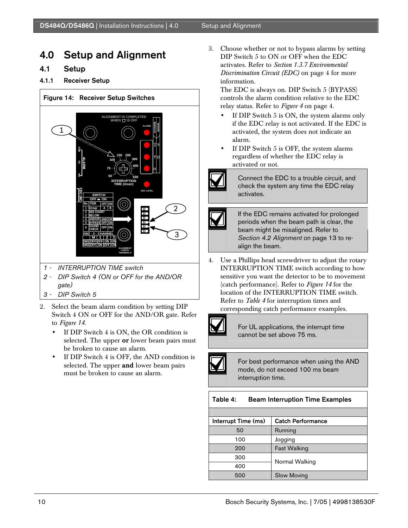# 4.0 Setup and Alignment

# 4.1 Setup

# 4.1.1 Receiver Setup



- *1 INTERRUPTION TIME switch*
- *2 DIP Switch 4 (ON or OFF for the AND/OR gate)*
- *3 DIP Switch 5*
- 2. Select the beam alarm condition by setting DIP Switch 4 ON or OFF for the AND/OR gate. Refer to *Figure 14*.
	- If DIP Switch 4 is ON, the OR condition is selected. The upper or lower beam pairs must be broken to cause an alarm.
	- If DIP Switch 4 is OFF, the AND condition is selected. The upper and lower beam pairs must be broken to cause an alarm.

3. Choose whether or not to bypass alarms by setting DIP Switch 5 to ON or OFF when the EDC activates. Refer to *Section 1.3.7 Environmental Discrimination Circuit (EDC)* on page 4 for more information.

The EDC is always on. DIP Switch 5 (BYPASS) controls the alarm condition relative to the EDC relay status. Refer to *Figure 4* on page 4.

- If DIP Switch 5 is ON, the system alarms only if the EDC relay is not activated. If the EDC is activated, the system does not indicate an alarm.
- If DIP Switch 5 is OFF, the system alarms regardless of whether the EDC relay is activated or not.



Connect the EDC to a trouble circuit, and check the system any time the EDC relay activates.



If the EDC remains activated for prolonged periods when the beam path is clear, the beam might be misaligned. Refer to *Section 4.2 Alignment* on page 13 to realign the beam.

4. Use a Phillips head screwdriver to adjust the rotary INTERRUPTION TIME switch according to how sensitive you want the detector to be to movement (catch performance). Refer to *Figure 14* for the location of the INTERRUPTION TIME switch. Refer to *Table 4* for interruption times and corresponding catch performance examples.



For UL applications, the interrupt time cannot be set above 75 ms.

For best performance when using the AND mode, do not exceed 100 ms beam interruption time.

# Table 4: Beam Interruption Time Examples

| Interrupt Time (ms) | <b>Catch Performance</b> |  |
|---------------------|--------------------------|--|
| 50                  | Running                  |  |
| 100                 | Jogging                  |  |
| 200                 | <b>Fast Walking</b>      |  |
| 300                 |                          |  |
| 400                 | Normal Walking           |  |
| 500                 | <b>Slow Moving</b>       |  |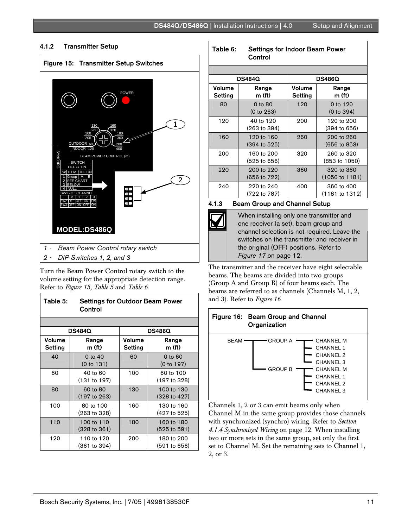

#### 4.1.2 Transmitter Setup

Turn the Beam Power Control rotary switch to the volume setting for the appropriate detection range. Refer to *Figure 15, Table 5* and *Table 6*.

| Table 5:                 | <b>Settings for Outdoor Beam Power</b><br>Control |                   |                                       |
|--------------------------|---------------------------------------------------|-------------------|---------------------------------------|
|                          |                                                   |                   |                                       |
|                          | <b>DS484Q</b>                                     |                   | <b>DS486Q</b>                         |
| Volume<br><b>Setting</b> | Range<br>$m$ (ft)                                 | Volume<br>Setting | Range<br>m (ft)                       |
| 40                       | 0 to 40<br>(0 to 131)                             | 60                | 0 to 60<br>(0 to 197)                 |
| 60                       | 40 to 60<br>(131 to 197)                          | 100               | 60 to 100<br>(197 to 328)             |
| 80                       | 60 to 80<br>$(197 \text{ to } 263)$               | 130               | 100 to 130<br>(328 to 427)            |
| 100                      | 80 to 100<br>(263 to 328)                         | 160               | 130 to 160<br>(427 to 525)            |
| 110                      | 100 to 110<br>(328 to 361)                        | 180               | 160 to 180<br>$(525 \text{ to } 591)$ |
| 120                      | 110 to 120<br>(361 to 394)                        | 200               | 180 to 200<br>(591 to 656)            |

#### Table 6: Settings for Indoor Beam Power **Control**

|                   | <b>DS484Q</b>               | <b>DS486Q</b>                        |                                         |  |
|-------------------|-----------------------------|--------------------------------------|-----------------------------------------|--|
| Volume<br>Setting | Range<br>m(f <sub>t</sub> ) | Volume<br>Range<br>m (ft)<br>Setting |                                         |  |
| 80                | 0 to 80<br>(0 to 263)       | 120                                  | 0 to 120<br>(0 to 394)                  |  |
| 120               | 40 to 120<br>(263 to 394)   | 200                                  | 120 to 200<br>(394 to 656)              |  |
| 160               | 120 to 160<br>(394 to 525)  | 260                                  | 200 to 260<br>$(656 \text{ to } 853)$   |  |
| 200               | 160 to 200<br>(525 to 656)  | 320                                  | 260 to 320<br>(853 to 1050)             |  |
| 220               | 200 to 220<br>(656 to 722)  | 360                                  | 320 to 360<br>$(1050 \text{ to } 1181)$ |  |
| 240               | 220 to 240<br>(722 to 787)  | 400                                  | 360 to 400<br>(1181 to 1312)            |  |

#### 4.1.3 Beam Group and Channel Setup

When installing only one transmitter and one receiver (a set), beam group and channel selection is not required. Leave the switches on the transmitter and receiver in the original (OFF) positions. Refer to *Figure 17* on page 12.

The transmitter and the receiver have eight selectable beams. The beams are divided into two groups (Group A and Group B) of four beams each. The beams are referred to as channels (Channels M, 1, 2, and 3). Refer to *Figure 16*.



Channels 1, 2 or 3 can emit beams only when Channel M in the same group provides those channels with synchronized (synchro) wiring. Refer to *Section 4.1.4 Synchronized Wiring* on page 12. When installing two or more sets in the same group, set only the first set to Channel M. Set the remaining sets to Channel 1, 2, or 3.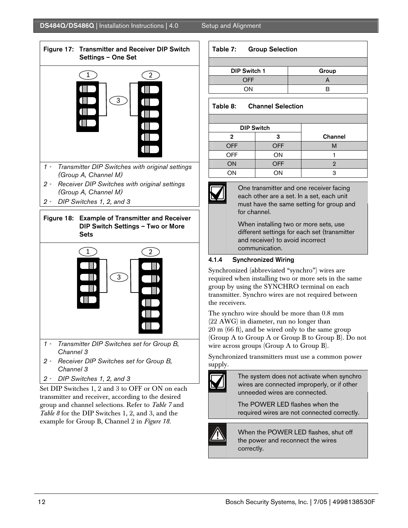

- *1 Transmitter DIP Switches with original settings (Group A, Channel M)*
- *2 Receiver DIP Switches with original settings (Group A, Channel M)*
- *2 DIP Switches 1, 2, and 3*





- *1 Transmitter DIP Switches set for Group B, Channel 3*
- *2 Receiver DIP Switches set for Group B, Channel 3*
- *2 DIP Switches 1, 2, and 3*

Set DIP Switches 1, 2 and 3 to OFF or ON on each transmitter and receiver, according to the desired group and channel selections. Refer to *Table 7* and *Table 8* for the DIP Switches 1, 2, and 3, and the example for Group B, Channel 2 in *Figure 18.*

#### Table 7: Group Selection

| <b>DIP Switch 1</b> | Group |
|---------------------|-------|
| <b>OFF</b>          |       |
| OΝ                  |       |

# Table 8: Channel Selection

|            | <b>DIP Switch</b> |         |
|------------|-------------------|---------|
| 2          | з                 | Channel |
| <b>OFF</b> | <b>OFF</b>        | М       |
| <b>OFF</b> | ON                |         |
| ON         | <b>OFF</b>        |         |
| ON         | ΟN                |         |



One transmitter and one receiver facing each other are a set. In a set, each unit must have the same setting for group and for channel.

When installing two or more sets, use different settings for each set (transmitter and receiver) to avoid incorrect communication.

# 4.1.4 Synchronized Wiring

Synchronized (abbreviated "synchro") wires are required when installing two or more sets in the same group by using the SYNCHRO terminal on each transmitter. Synchro wires are not required between the receivers.

The synchro wire should be more than 0.8 mm (22 AWG) in diameter, run no longer than 20 m (66 ft), and be wired only to the same group (Group A to Group A or Group B to Group B). Do not wire across groups (Group A to Group B).

Synchronized transmitters must use a common power supply.



The system does not activate when synchro wires are connected improperly, or if other unneeded wires are connected.

The POWER LED flashes when the required wires are not connected correctly.



When the POWER LED flashes, shut off the power and reconnect the wires correctly.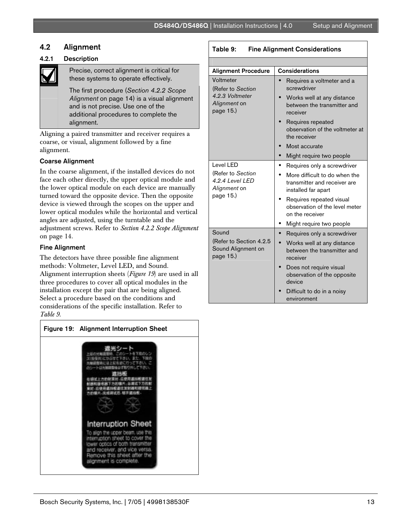# 4.2 Alignment

# 4.2.1 Description

Precise, correct alignment is critical for these systems to operate effectively.

The first procedure (*Section 4.2.2 Scope Alignment* on page 14) is a visual alignment and is not precise. Use one of the additional procedures to complete the alignment.

Aligning a paired transmitter and receiver requires a coarse, or visual, alignment followed by a fine alignment.

# Coarse Alignment

In the coarse alignment, if the installed devices do not face each other directly, the upper optical module and the lower optical module on each device are manually turned toward the opposite device. Then the opposite device is viewed through the scopes on the upper and lower optical modules while the horizontal and vertical angles are adjusted, using the turntable and the adjustment screws. Refer to *Section 4.2.2 Scope Alignment* on page 14.

# Fine Alignment

The detectors have three possible fine alignment methods: Voltmeter, Level LED, and Sound. Alignment interruption sheets (*Figure 19*) are used in all three procedures to cover all optical modules in the installation except the pair that are being aligned. Select a procedure based on the conditions and considerations of the specific installation. Refer to *Table 9*.

| Figure 19: Alignment Interruption Sheet                                                                                                                                 |
|-------------------------------------------------------------------------------------------------------------------------------------------------------------------------|
| <b>Interruption Sheet</b><br>To align the upper beam, use<br>T'IS<br>interruption should to cover the<br>ower octics of both transmitter<br>d receiver, and vice versa. |
| nove this sheet after the<br>alignment is complete.                                                                                                                     |

### Table 9: Fine Alignment Considerations

| <b>Alignment Procedure</b>                                 | <b>Considerations</b>                                                                |  |  |  |
|------------------------------------------------------------|--------------------------------------------------------------------------------------|--|--|--|
| Voltmeter<br>(Refer to Section                             | Requires a voltmeter and a<br>screwdriver                                            |  |  |  |
| 4.2.3 Voltmeter<br>Alignment on<br>page $15.$ )            | Works well at any distance<br>between the transmitter and<br>receiver                |  |  |  |
|                                                            | Requires repeated<br>observation of the voltmeter at<br>the receiver                 |  |  |  |
|                                                            | Most accurate                                                                        |  |  |  |
|                                                            | Might require two people                                                             |  |  |  |
| Level LED                                                  | Requires only a screwdriver                                                          |  |  |  |
| (Refer to Section<br>4.2.4 Level LED<br>Alignment on       | More difficult to do when the<br>transmitter and receiver are<br>installed far apart |  |  |  |
| page 15.)                                                  | Requires repeated visual<br>observation of the level meter<br>on the receiver        |  |  |  |
|                                                            | Might require two people                                                             |  |  |  |
| Sound                                                      | Requires only a screwdriver                                                          |  |  |  |
| (Refer to Section 4.2.5<br>Sound Alignment on<br>page 15.) | Works well at any distance<br>between the transmitter and<br>receiver                |  |  |  |
|                                                            | Does not require visual<br>observation of the opposite<br>device                     |  |  |  |
|                                                            | Difficult to do in a noisy<br>environment                                            |  |  |  |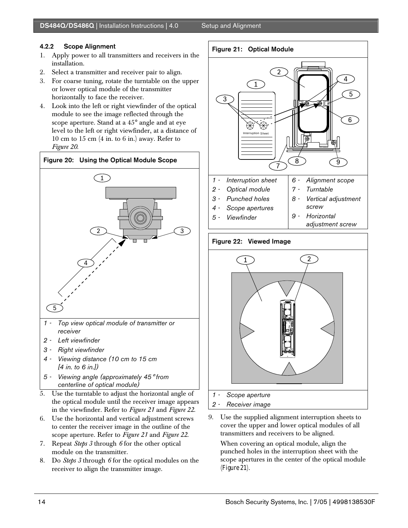# 4.2.2 Scope Alignment

- 1. Apply power to all transmitters and receivers in the installation.
- 2. Select a transmitter and receiver pair to align.
- 3. For coarse tuning, rotate the turntable on the upper or lower optical module of the transmitter horizontally to face the receiver.
- 4. Look into the left or right viewfinder of the optical module to see the image reflected through the scope aperture. Stand at a 45° angle and at eye level to the left or right viewfinder, at a distance of 10 cm to 15 cm (4 in. to 6 in.) away. Refer to *Figure 20*.



- *[4 in. to 6 in.])*
- *5 Viewing angle (approximately 45*° *from centerline of optical module)*
- 5. Use the turntable to adjust the horizontal angle of the optical module until the receiver image appears in the viewfinder. Refer to *Figure 21* and *Figure 22*.
- 6. Use the horizontal and vertical adjustment screws to center the receiver image in the outline of the scope aperture. Refer to *Figure 21* and *Figure 22*.
- 7. Repeat *Steps 3* through *6* for the other optical module on the transmitter.
- 8. Do *Steps 3* through *6* for the optical modules on the receiver to align the transmitter image.

### Figure 21: Optical Module



# Figure 22: Viewed Image



9. Use the supplied alignment interruption sheets to cover the upper and lower optical modules of all transmitters and receivers to be aligned.

When covering an optical module, align the punched holes in the interruption sheet with the scope apertures in the center of the optical module (*Figure 21*).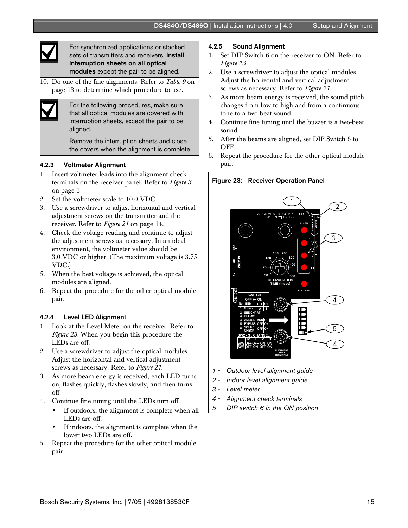

.

For synchronized applications or stacked sets of transmitters and receivers, install interruption sheets on all optical modules except the pair to be aligned.

10. Do one of the fine alignments. Refer to *Table 9* on page 13 to determine which procedure to use.



For the following procedures, make sure that all optical modules are covered with interruption sheets, except the pair to be aligned.

Remove the interruption sheets and close the covers when the alignment is complete.

# 4.2.3 Voltmeter Alignment

- 1. Insert voltmeter leads into the alignment check terminals on the receiver panel. Refer to *Figure 3* on page 3
- 2. Set the voltmeter scale to 10.0 VDC.
- 3. Use a screwdriver to adjust horizontal and vertical adjustment screws on the transmitter and the receiver. Refer to *Figure 21* on page 14.
- 4. Check the voltage reading and continue to adjust the adjustment screws as necessary. In an ideal environment, the voltmeter value should be 3.0 VDC or higher. (The maximum voltage is 3.75 VDC.)
- 5. When the best voltage is achieved, the optical modules are aligned.
- 6. Repeat the procedure for the other optical module pair.

# 4.2.4 Level LED Alignment

- 1. Look at the Level Meter on the receiver. Refer to *Figure 23.* When you begin this procedure the LEDs are off.
- 2. Use a screwdriver to adjust the optical modules. Adjust the horizontal and vertical adjustment screws as necessary. Refer to *Figure 21*.
- 3. As more beam energy is received, each LED turns on, flashes quickly, flashes slowly, and then turns off.
- 4. Continue fine tuning until the LEDs turn off.
	- If outdoors, the alignment is complete when all LEDs are off.
	- If indoors, the alignment is complete when the lower two LEDs are off.
- 5. Repeat the procedure for the other optical module pair.

#### 4.2.5 Sound Alignment

- 1. Set DIP Switch 6 on the receiver to ON. Refer to *Figure 23.*
- 2. Use a screwdriver to adjust the optical modules. Adjust the horizontal and vertical adjustment screws as necessary. Refer to *Figure 21*.
- 3. As more beam energy is received, the sound pitch changes from low to high and from a continuous tone to a two beat sound.
- 4. Continue fine tuning until the buzzer is a two-beat sound.
- 5. After the beams are aligned, set DIP Switch 6 to OFF.
- 6. Repeat the procedure for the other optical module pair.



- *2 Indoor level alignment guide*
- *3 Level meter*
- *4 Alignment check terminals*
- *5 DIP switch 6 in the ON position*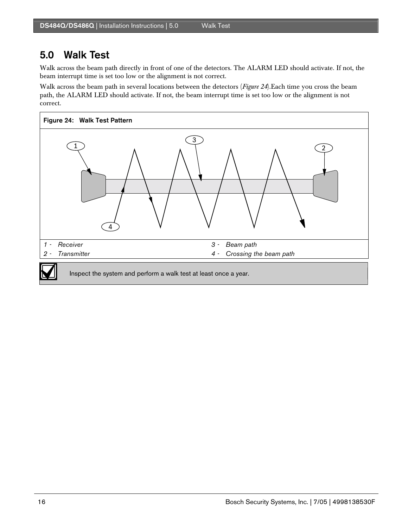# 5.0 Walk Test

Walk across the beam path directly in front of one of the detectors. The ALARM LED should activate. If not, the beam interrupt time is set too low or the alignment is not correct.

Walk across the beam path in several locations between the detectors (*Figure 24*).Each time you cross the beam path, the ALARM LED should activate. If not, the beam interrupt time is set too low or the alignment is not correct.

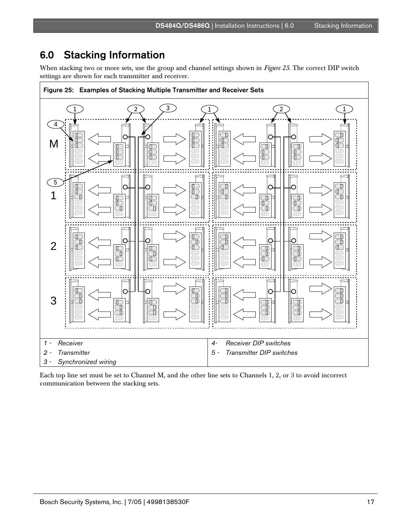# 6.0 Stacking Information

When stacking two or more sets, use the group and channel settings shown in *Figure 25*. The correct DIP switch settings are shown for each transmitter and receiver.



Each top line set must be set to Channel M, and the other line sets to Channels 1, 2, or 3 to avoid incorrect communication between the stacking sets.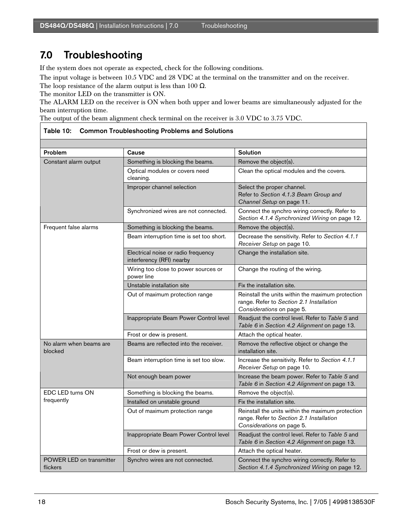# 7.0 Troubleshooting

If the system does not operate as expected, check for the following conditions.

The input voltage is between 10.5 VDC and 28 VDC at the terminal on the transmitter and on the receiver.

The loop resistance of the alarm output is less than 100  $\Omega$ .

The monitor LED on the transmitter is ON.

The ALARM LED on the receiver is ON when both upper and lower beams are simultaneously adjusted for the beam interruption time.

The output of the beam alignment check terminal on the receiver is 3.0 VDC to 3.75 VDC.

| Problem                              | Cause                                                            | <b>Solution</b>                                                                                                            |
|--------------------------------------|------------------------------------------------------------------|----------------------------------------------------------------------------------------------------------------------------|
| Constant alarm output                | Something is blocking the beams.                                 | Remove the object(s).                                                                                                      |
|                                      | Optical modules or covers need<br>cleaning.                      | Clean the optical modules and the covers.                                                                                  |
|                                      | Improper channel selection                                       | Select the proper channel.<br>Refer to Section 4.1.3 Beam Group and<br>Channel Setup on page 11.                           |
|                                      | Synchronized wires are not connected.                            | Connect the synchro wiring correctly. Refer to<br>Section 4.1.4 Synchronized Wiring on page 12.                            |
| Frequent false alarms                | Something is blocking the beams.                                 | Remove the object(s).                                                                                                      |
|                                      | Beam interruption time is set too short.                         | Decrease the sensitivity. Refer to Section 4.1.1<br>Receiver Setup on page 10.                                             |
|                                      | Electrical noise or radio frequency<br>interferency (RFI) nearby | Change the installation site.                                                                                              |
|                                      | Wiring too close to power sources or<br>power line               | Change the routing of the wiring.                                                                                          |
|                                      | Unstable installation site                                       | Fix the installation site.                                                                                                 |
|                                      | Out of maximum protection range                                  | Reinstall the units within the maximum protection<br>range. Refer to Section 2.1 Installation<br>Considerations on page 5. |
|                                      | Inappropriate Beam Power Control level                           | Readjust the control level. Refer to Table 5 and<br>Table 6 in Section 4.2 Alignment on page 13.                           |
|                                      | Frost or dew is present.                                         | Attach the optical heater.                                                                                                 |
| No alarm when beams are<br>blocked   | Beams are reflected into the receiver.                           | Remove the reflective object or change the<br>installation site.                                                           |
|                                      | Beam interruption time is set too slow.                          | Increase the sensitivity. Refer to Section 4.1.1<br>Receiver Setup on page 10.                                             |
|                                      | Not enough beam power                                            | Increase the beam power. Refer to Table 5 and<br>Table 6 in Section 4.2 Alignment on page 13.                              |
| EDC LED turns ON                     | Something is blocking the beams.                                 | Remove the object(s).                                                                                                      |
| frequently                           | Installed on unstable ground                                     | Fix the installation site.                                                                                                 |
|                                      | Out of maximum protection range                                  | Reinstall the units within the maximum protection<br>range. Refer to Section 2.1 Installation<br>Considerations on page 5. |
|                                      | Inappropriate Beam Power Control level                           | Readjust the control level. Refer to Table 5 and<br>Table 6 in Section 4.2 Alignment on page 13.                           |
|                                      | Frost or dew is present.                                         | Attach the optical heater.                                                                                                 |
| POWER LED on transmitter<br>flickers | Synchro wires are not connected.                                 | Connect the synchro wiring correctly. Refer to<br>Section 4.1.4 Synchronized Wiring on page 12.                            |

#### Table 10: Common Troubleshooting Problems and Solutions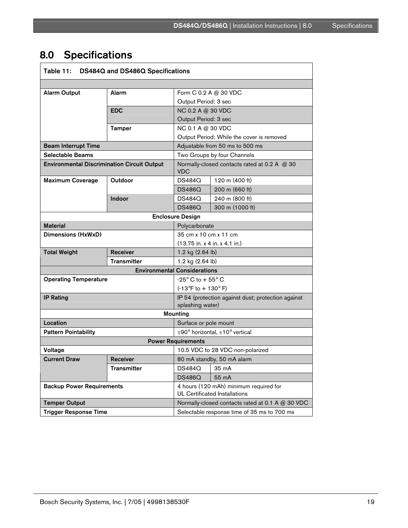# 8.0 Specifications

| Table 11: DS484Q and DS486Q Specifications         |                    |                                                                                |                 |
|----------------------------------------------------|--------------------|--------------------------------------------------------------------------------|-----------------|
|                                                    |                    |                                                                                |                 |
| <b>Alarm Output</b>                                | Alarm              | Form C 0.2 A @ 30 VDC                                                          |                 |
|                                                    |                    | Output Period: 3 sec                                                           |                 |
|                                                    | <b>EDC</b>         | NC 0.2 A @ 30 VDC                                                              |                 |
|                                                    |                    | Output Period: 3 sec                                                           |                 |
|                                                    | <b>Tamper</b>      | NC 0.1 A @ 30 VDC<br>Output Period: While the cover is removed                 |                 |
|                                                    |                    |                                                                                |                 |
| <b>Beam Interrupt Time</b>                         |                    | Adjustable from 50 ms to 500 ms                                                |                 |
| Selectable Beams                                   |                    | Two Groups by four Channels                                                    |                 |
| <b>Environmental Discrimination Circuit Output</b> |                    | Normally-closed contacts rated at 0.2 A @ 30<br><b>VDC</b>                     |                 |
| <b>Maximum Coverage</b>                            | Outdoor            | DS484Q                                                                         | 120 m (400 ft)  |
|                                                    |                    | <b>DS486Q</b>                                                                  | 200 m (660 ft)  |
|                                                    | Indoor             | <b>DS484Q</b>                                                                  | 240 m (800 ft)  |
|                                                    |                    | <b>DS486Q</b>                                                                  | 300 m (1000 ft) |
| <b>Enclosure Design</b>                            |                    |                                                                                |                 |
| <b>Material</b>                                    |                    | Polycarbonate                                                                  |                 |
| Dimensions (HxWxD)                                 |                    | 35 cm x 10 cm x 11 cm                                                          |                 |
|                                                    |                    | (13.75 in. x 4 in. x 4.1 in.)                                                  |                 |
| <b>Total Weight</b>                                | <b>Receiver</b>    | 1.2 kg (2.64 lb)                                                               |                 |
| <b>Transmitter</b>                                 |                    | 1.2 kg (2.64 lb)                                                               |                 |
| <b>Environmental Considerations</b>                |                    |                                                                                |                 |
| <b>Operating Temperature</b>                       |                    | $-25^\circ$ C to $+55^\circ$ C                                                 |                 |
|                                                    |                    | $(-13^{\circ}F to + 130^{\circ}F)$                                             |                 |
| <b>IP Rating</b>                                   |                    | IP 54 (protection against dust; protection against<br>splashing water)         |                 |
| <b>Mounting</b>                                    |                    |                                                                                |                 |
| Location                                           |                    | Surface or pole mount                                                          |                 |
| <b>Pattern Pointability</b>                        |                    | $\pm$ 90° horizontal, $\pm$ 10° vertical                                       |                 |
| <b>Power Requirements</b>                          |                    |                                                                                |                 |
| Voltage                                            |                    | 10.5 VDC to 28 VDC non-polarized                                               |                 |
| <b>Current Draw</b>                                | <b>Receiver</b>    | 80 mA standby, 50 mA alarm                                                     |                 |
|                                                    | <b>Transmitter</b> | <b>DS484Q</b>                                                                  | 35 mA           |
|                                                    |                    | <b>DS486Q</b>                                                                  | 55 mA           |
| <b>Backup Power Requirements</b>                   |                    | 4 hours (120 mAh) minimum required for<br><b>UL Certificated Installations</b> |                 |
| <b>Temper Output</b>                               |                    | Normally-closed contacts rated at 0.1 A @ 30 VDC                               |                 |
| <b>Trigger Response Time</b>                       |                    | Selectable response time of 35 ms to 700 ms                                    |                 |